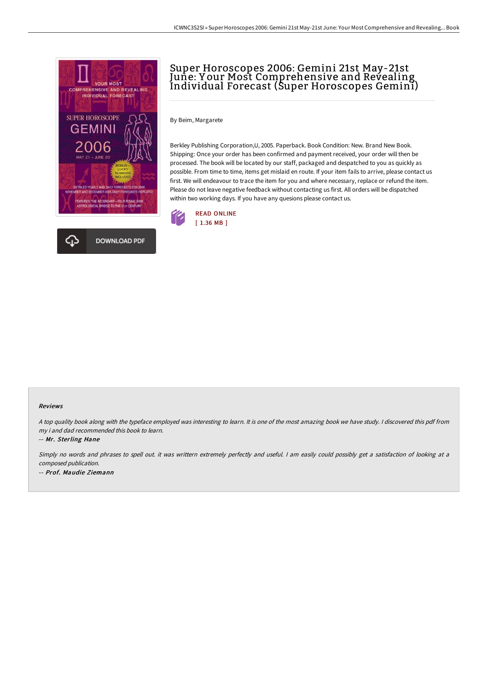

# Super Horoscopes 2006: Gemini 21st May-21st June: Y our Most Comprehensive and Revealing Individual Forecast (Super Horoscopes Gemini)

By Beim, Margarete

Berkley Publishing Corporation,U, 2005. Paperback. Book Condition: New. Brand New Book. Shipping: Once your order has been confirmed and payment received, your order will then be processed. The book will be located by our staff, packaged and despatched to you as quickly as possible. From time to time, items get mislaid en route. If your item fails to arrive, please contact us first. We will endeavour to trace the item for you and where necessary, replace or refund the item. Please do not leave negative feedback without contacting us first. All orders will be dispatched within two working days. If you have any quesions please contact us.



#### Reviews

<sup>A</sup> top quality book along with the typeface employed was interesting to learn. It is one of the most amazing book we have study. <sup>I</sup> discovered this pdf from my i and dad recommended this book to learn.

-- Mr. Sterling Hane

Simply no words and phrases to spell out. it was writtern extremely perfectly and useful. <sup>I</sup> am easily could possibly get <sup>a</sup> satisfaction of looking at <sup>a</sup> composed publication. -- Prof. Maudie Ziemann